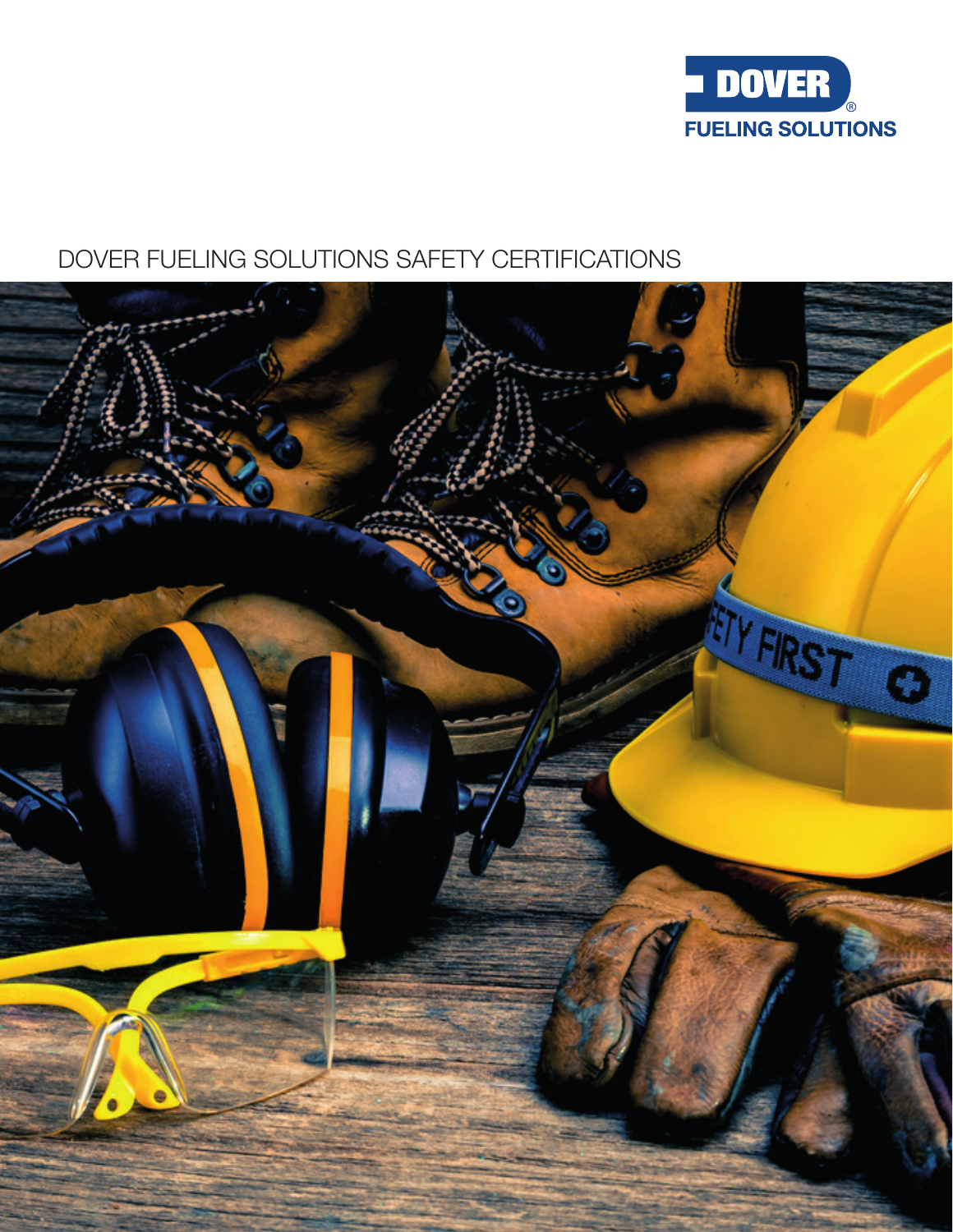

# DOVER FUELING SOLUTIONS SAFETY CERTIFICATIONS